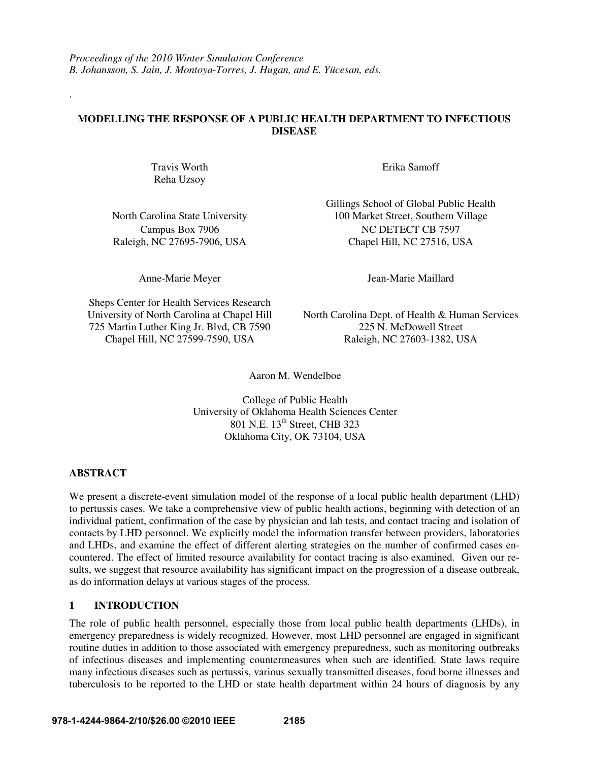# **MODELLING THE RESPONSE OF A PUBLIC HEALTH DEPARTMENT TO INFECTIOUS DISEASE**

Travis Worth Erika Samoff Reha Uzsoy

Sheps Center for Health Services Research 725 Martin Luther King Jr. Blvd, CB 7590 225 N. McDowell Street Chapel Hill, NC 27599-7590, USA

Gillings School of Global Public Health North Carolina State University 100 Market Street, Southern Village Campus Box 7906 NC DETECT CB 7597 Raleigh, NC 27695-7906, USA Chapel Hill, NC 27516, USA

Anne-Marie Meyer Jean-Marie Maillard

University of North Carolina at Chapel Hill North Carolina Dept. of Health & Human Services

Aaron M. Wendelboe

College of Public Health University of Oklahoma Health Sciences Center 801 N.E. 13<sup>th</sup> Street, CHB 323 Oklahoma City, OK 73104, USA

## **ABSTRACT**

.

We present a discrete-event simulation model of the response of a local public health department (LHD) to pertussis cases. We take a comprehensive view of public health actions, beginning with detection of an individual patient, confirmation of the case by physician and lab tests, and contact tracing and isolation of contacts by LHD personnel. We explicitly model the information transfer between providers, laboratories and LHDs, and examine the effect of different alerting strategies on the number of confirmed cases encountered. The effect of limited resource availability for contact tracing is also examined. Given our results, we suggest that resource availability has significant impact on the progression of a disease outbreak, as do information delays at various stages of the process.

## **1 INTRODUCTION**

The role of public health personnel, especially those from local public health departments (LHDs), in emergency preparedness is widely recognized. However, most LHD personnel are engaged in significant routine duties in addition to those associated with emergency preparedness, such as monitoring outbreaks of infectious diseases and implementing countermeasures when such are identified. State laws require many infectious diseases such as pertussis, various sexually transmitted diseases, food borne illnesses and tuberculosis to be reported to the LHD or state health department within 24 hours of diagnosis by any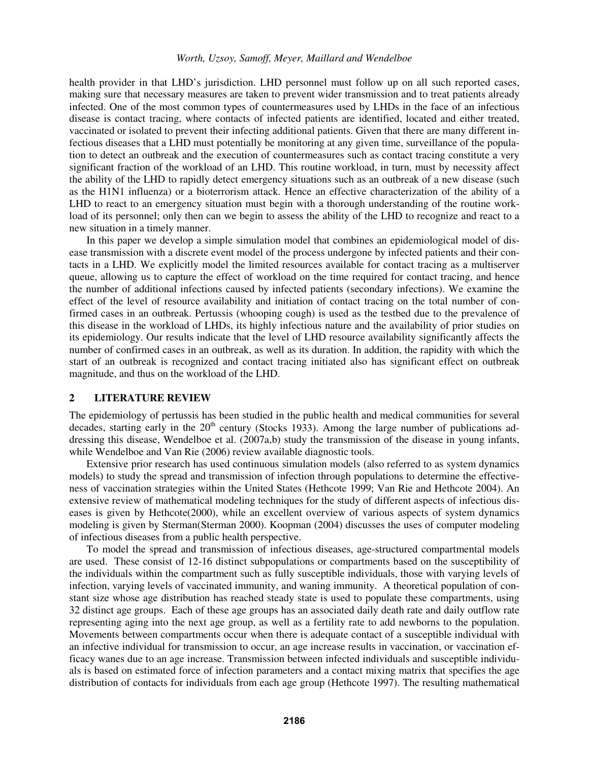health provider in that LHD's jurisdiction. LHD personnel must follow up on all such reported cases, making sure that necessary measures are taken to prevent wider transmission and to treat patients already infected. One of the most common types of countermeasures used by LHDs in the face of an infectious disease is contact tracing, where contacts of infected patients are identified, located and either treated, vaccinated or isolated to prevent their infecting additional patients. Given that there are many different infectious diseases that a LHD must potentially be monitoring at any given time, surveillance of the population to detect an outbreak and the execution of countermeasures such as contact tracing constitute a very significant fraction of the workload of an LHD. This routine workload, in turn, must by necessity affect the ability of the LHD to rapidly detect emergency situations such as an outbreak of a new disease (such as the H1N1 influenza) or a bioterrorism attack. Hence an effective characterization of the ability of a LHD to react to an emergency situation must begin with a thorough understanding of the routine workload of its personnel; only then can we begin to assess the ability of the LHD to recognize and react to a new situation in a timely manner.

In this paper we develop a simple simulation model that combines an epidemiological model of disease transmission with a discrete event model of the process undergone by infected patients and their contacts in a LHD. We explicitly model the limited resources available for contact tracing as a multiserver queue, allowing us to capture the effect of workload on the time required for contact tracing, and hence the number of additional infections caused by infected patients (secondary infections). We examine the effect of the level of resource availability and initiation of contact tracing on the total number of confirmed cases in an outbreak. Pertussis (whooping cough) is used as the testbed due to the prevalence of this disease in the workload of LHDs, its highly infectious nature and the availability of prior studies on its epidemiology. Our results indicate that the level of LHD resource availability significantly affects the number of confirmed cases in an outbreak, as well as its duration. In addition, the rapidity with which the start of an outbreak is recognized and contact tracing initiated also has significant effect on outbreak magnitude, and thus on the workload of the LHD.

#### **2 LITERATURE REVIEW**

The epidemiology of pertussis has been studied in the public health and medical communities for several decades, starting early in the  $20<sup>th</sup>$  century (Stocks 1933). Among the large number of publications addressing this disease, Wendelboe et al. (2007a,b) study the transmission of the disease in young infants, while Wendelboe and Van Rie (2006) review available diagnostic tools.

 Extensive prior research has used continuous simulation models (also referred to as system dynamics models) to study the spread and transmission of infection through populations to determine the effectiveness of vaccination strategies within the United States (Hethcote 1999; Van Rie and Hethcote 2004). An extensive review of mathematical modeling techniques for the study of different aspects of infectious diseases is given by Hethcote(2000), while an excellent overview of various aspects of system dynamics modeling is given by Sterman(Sterman 2000). Koopman (2004) discusses the uses of computer modeling of infectious diseases from a public health perspective.

 To model the spread and transmission of infectious diseases, age-structured compartmental models are used. These consist of 12-16 distinct subpopulations or compartments based on the susceptibility of the individuals within the compartment such as fully susceptible individuals, those with varying levels of infection, varying levels of vaccinated immunity, and waning immunity. A theoretical population of constant size whose age distribution has reached steady state is used to populate these compartments, using 32 distinct age groups. Each of these age groups has an associated daily death rate and daily outflow rate representing aging into the next age group, as well as a fertility rate to add newborns to the population. Movements between compartments occur when there is adequate contact of a susceptible individual with an infective individual for transmission to occur, an age increase results in vaccination, or vaccination efficacy wanes due to an age increase. Transmission between infected individuals and susceptible individuals is based on estimated force of infection parameters and a contact mixing matrix that specifies the age distribution of contacts for individuals from each age group (Hethcote 1997). The resulting mathematical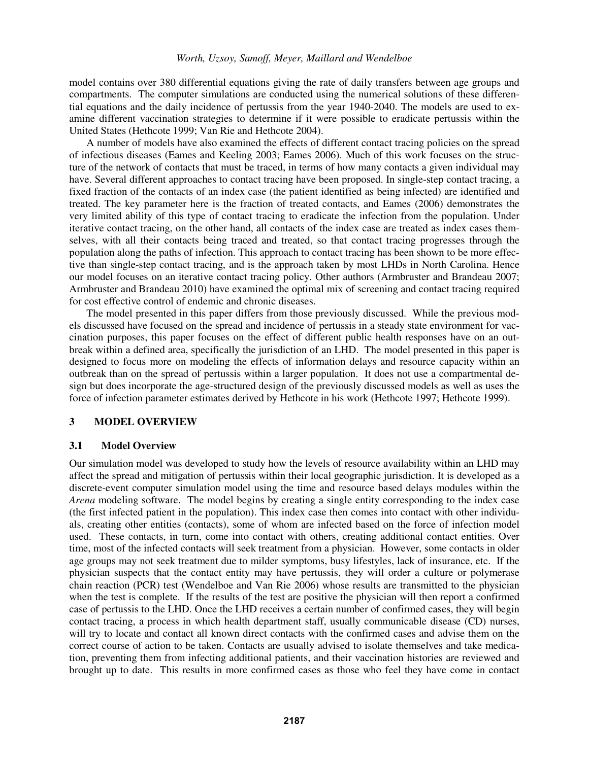model contains over 380 differential equations giving the rate of daily transfers between age groups and compartments. The computer simulations are conducted using the numerical solutions of these differential equations and the daily incidence of pertussis from the year 1940-2040. The models are used to examine different vaccination strategies to determine if it were possible to eradicate pertussis within the United States (Hethcote 1999; Van Rie and Hethcote 2004).

A number of models have also examined the effects of different contact tracing policies on the spread of infectious diseases (Eames and Keeling 2003; Eames 2006). Much of this work focuses on the structure of the network of contacts that must be traced, in terms of how many contacts a given individual may have. Several different approaches to contact tracing have been proposed. In single-step contact tracing, a fixed fraction of the contacts of an index case (the patient identified as being infected) are identified and treated. The key parameter here is the fraction of treated contacts, and Eames (2006) demonstrates the very limited ability of this type of contact tracing to eradicate the infection from the population. Under iterative contact tracing, on the other hand, all contacts of the index case are treated as index cases themselves, with all their contacts being traced and treated, so that contact tracing progresses through the population along the paths of infection. This approach to contact tracing has been shown to be more effective than single-step contact tracing, and is the approach taken by most LHDs in North Carolina. Hence our model focuses on an iterative contact tracing policy. Other authors (Armbruster and Brandeau 2007; Armbruster and Brandeau 2010) have examined the optimal mix of screening and contact tracing required for cost effective control of endemic and chronic diseases.

The model presented in this paper differs from those previously discussed. While the previous models discussed have focused on the spread and incidence of pertussis in a steady state environment for vaccination purposes, this paper focuses on the effect of different public health responses have on an outbreak within a defined area, specifically the jurisdiction of an LHD. The model presented in this paper is designed to focus more on modeling the effects of information delays and resource capacity within an outbreak than on the spread of pertussis within a larger population. It does not use a compartmental design but does incorporate the age-structured design of the previously discussed models as well as uses the force of infection parameter estimates derived by Hethcote in his work (Hethcote 1997; Hethcote 1999).

## **3 MODEL OVERVIEW**

## **3.1 Model Overview**

Our simulation model was developed to study how the levels of resource availability within an LHD may affect the spread and mitigation of pertussis within their local geographic jurisdiction. It is developed as a discrete-event computer simulation model using the time and resource based delays modules within the *Arena* modeling software. The model begins by creating a single entity corresponding to the index case (the first infected patient in the population). This index case then comes into contact with other individuals, creating other entities (contacts), some of whom are infected based on the force of infection model used. These contacts, in turn, come into contact with others, creating additional contact entities. Over time, most of the infected contacts will seek treatment from a physician. However, some contacts in older age groups may not seek treatment due to milder symptoms, busy lifestyles, lack of insurance, etc. If the physician suspects that the contact entity may have pertussis, they will order a culture or polymerase chain reaction (PCR) test (Wendelboe and Van Rie 2006) whose results are transmitted to the physician when the test is complete. If the results of the test are positive the physician will then report a confirmed case of pertussis to the LHD. Once the LHD receives a certain number of confirmed cases, they will begin contact tracing, a process in which health department staff, usually communicable disease (CD) nurses, will try to locate and contact all known direct contacts with the confirmed cases and advise them on the correct course of action to be taken. Contacts are usually advised to isolate themselves and take medication, preventing them from infecting additional patients, and their vaccination histories are reviewed and brought up to date. This results in more confirmed cases as those who feel they have come in contact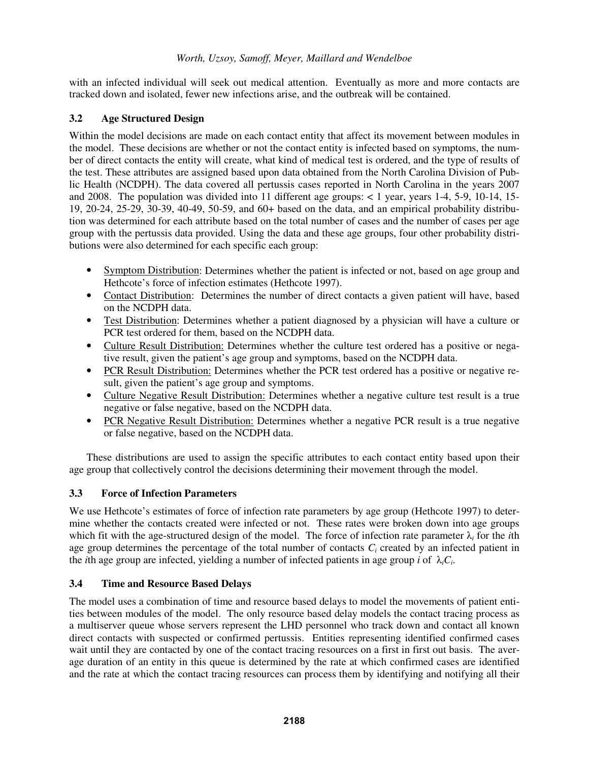with an infected individual will seek out medical attention. Eventually as more and more contacts are tracked down and isolated, fewer new infections arise, and the outbreak will be contained.

## **3.2 Age Structured Design**

Within the model decisions are made on each contact entity that affect its movement between modules in the model. These decisions are whether or not the contact entity is infected based on symptoms, the number of direct contacts the entity will create, what kind of medical test is ordered, and the type of results of the test. These attributes are assigned based upon data obtained from the North Carolina Division of Public Health (NCDPH). The data covered all pertussis cases reported in North Carolina in the years 2007 and 2008. The population was divided into 11 different age groups:  $\lt 1$  year, years 1-4, 5-9, 10-14, 15-19, 20-24, 25-29, 30-39, 40-49, 50-59, and 60+ based on the data, and an empirical probability distribution was determined for each attribute based on the total number of cases and the number of cases per age group with the pertussis data provided. Using the data and these age groups, four other probability distributions were also determined for each specific each group:

- Symptom Distribution: Determines whether the patient is infected or not, based on age group and Hethcote's force of infection estimates (Hethcote 1997).
- Contact Distribution: Determines the number of direct contacts a given patient will have, based on the NCDPH data.
- Test Distribution: Determines whether a patient diagnosed by a physician will have a culture or PCR test ordered for them, based on the NCDPH data.
- Culture Result Distribution: Determines whether the culture test ordered has a positive or negative result, given the patient's age group and symptoms, based on the NCDPH data.
- PCR Result Distribution: Determines whether the PCR test ordered has a positive or negative result, given the patient's age group and symptoms.
- Culture Negative Result Distribution: Determines whether a negative culture test result is a true negative or false negative, based on the NCDPH data.
- PCR Negative Result Distribution: Determines whether a negative PCR result is a true negative or false negative, based on the NCDPH data.

 These distributions are used to assign the specific attributes to each contact entity based upon their age group that collectively control the decisions determining their movement through the model.

## **3.3 Force of Infection Parameters**

We use Hethcote's estimates of force of infection rate parameters by age group (Hethcote 1997) to determine whether the contacts created were infected or not. These rates were broken down into age groups which fit with the age-structured design of the model. The force of infection rate parameter λ*i* for the *i*th age group determines the percentage of the total number of contacts  $C_i$  created by an infected patient in the *i*th age group are infected, yielding a number of infected patients in age group *i* of  $\lambda_i C_i$ .

## **3.4 Time and Resource Based Delays**

The model uses a combination of time and resource based delays to model the movements of patient entities between modules of the model. The only resource based delay models the contact tracing process as a multiserver queue whose servers represent the LHD personnel who track down and contact all known direct contacts with suspected or confirmed pertussis. Entities representing identified confirmed cases wait until they are contacted by one of the contact tracing resources on a first in first out basis. The average duration of an entity in this queue is determined by the rate at which confirmed cases are identified and the rate at which the contact tracing resources can process them by identifying and notifying all their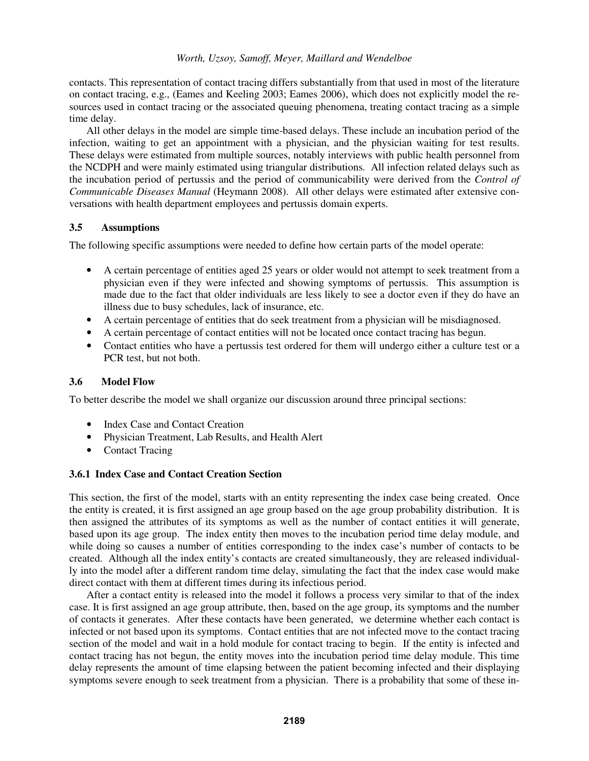contacts. This representation of contact tracing differs substantially from that used in most of the literature on contact tracing, e.g., (Eames and Keeling 2003; Eames 2006), which does not explicitly model the resources used in contact tracing or the associated queuing phenomena, treating contact tracing as a simple time delay.

All other delays in the model are simple time-based delays. These include an incubation period of the infection, waiting to get an appointment with a physician, and the physician waiting for test results. These delays were estimated from multiple sources, notably interviews with public health personnel from the NCDPH and were mainly estimated using triangular distributions. All infection related delays such as the incubation period of pertussis and the period of communicability were derived from the *Control of Communicable Diseases Manual* (Heymann 2008). All other delays were estimated after extensive conversations with health department employees and pertussis domain experts.

## **3.5 Assumptions**

The following specific assumptions were needed to define how certain parts of the model operate:

- A certain percentage of entities aged 25 years or older would not attempt to seek treatment from a physician even if they were infected and showing symptoms of pertussis. This assumption is made due to the fact that older individuals are less likely to see a doctor even if they do have an illness due to busy schedules, lack of insurance, etc.
- A certain percentage of entities that do seek treatment from a physician will be misdiagnosed.
- A certain percentage of contact entities will not be located once contact tracing has begun.
- Contact entities who have a pertussis test ordered for them will undergo either a culture test or a PCR test, but not both.

### **3.6 Model Flow**

To better describe the model we shall organize our discussion around three principal sections:

- Index Case and Contact Creation
- Physician Treatment, Lab Results, and Health Alert
- Contact Tracing

### **3.6.1 Index Case and Contact Creation Section**

This section, the first of the model, starts with an entity representing the index case being created. Once the entity is created, it is first assigned an age group based on the age group probability distribution. It is then assigned the attributes of its symptoms as well as the number of contact entities it will generate, based upon its age group. The index entity then moves to the incubation period time delay module, and while doing so causes a number of entities corresponding to the index case's number of contacts to be created. Although all the index entity's contacts are created simultaneously, they are released individually into the model after a different random time delay, simulating the fact that the index case would make direct contact with them at different times during its infectious period.

 After a contact entity is released into the model it follows a process very similar to that of the index case. It is first assigned an age group attribute, then, based on the age group, its symptoms and the number of contacts it generates. After these contacts have been generated, we determine whether each contact is infected or not based upon its symptoms. Contact entities that are not infected move to the contact tracing section of the model and wait in a hold module for contact tracing to begin. If the entity is infected and contact tracing has not begun, the entity moves into the incubation period time delay module. This time delay represents the amount of time elapsing between the patient becoming infected and their displaying symptoms severe enough to seek treatment from a physician. There is a probability that some of these in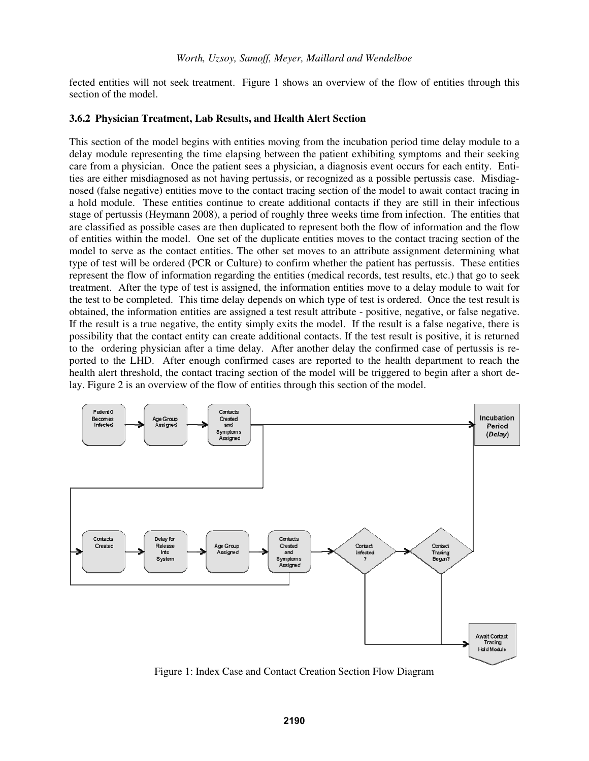fected entities will not seek treatment. Figure 1 shows an overview of the flow of entities through this section of the model.

### **3.6.2 Physician Treatment, Lab Results, and Health Alert Section**

This section of the model begins with entities moving from the incubation period time delay module to a delay module representing the time elapsing between the patient exhibiting symptoms and their seeking care from a physician. Once the patient sees a physician, a diagnosis event occurs for each entity. Entities are either misdiagnosed as not having pertussis, or recognized as a possible pertussis case. Misdiagnosed (false negative) entities move to the contact tracing section of the model to await contact tracing in a hold module. These entities continue to create additional contacts if they are still in their infectious stage of pertussis (Heymann 2008), a period of roughly three weeks time from infection. The entities that are classified as possible cases are then duplicated to represent both the flow of information and the flow of entities within the model. One set of the duplicate entities moves to the contact tracing section of the model to serve as the contact entities. The other set moves to an attribute assignment determining what type of test will be ordered (PCR or Culture) to confirm whether the patient has pertussis. These entities represent the flow of information regarding the entities (medical records, test results, etc.) that go to seek treatment. After the type of test is assigned, the information entities move to a delay module to wait for the test to be completed. This time delay depends on which type of test is ordered. Once the test result is obtained, the information entities are assigned a test result attribute - positive, negative, or false negative. If the result is a true negative, the entity simply exits the model. If the result is a false negative, there is possibility that the contact entity can create additional contacts. If the test result is positive, it is returned to the ordering physician after a time delay. After another delay the confirmed case of pertussis is reported to the LHD. After enough confirmed cases are reported to the health department to reach the health alert threshold, the contact tracing section of the model will be triggered to begin after a short delay. Figure 2 is an overview of the flow of entities through this section of the model.



Figure 1: Index Case and Contact Creation Section Flow Diagram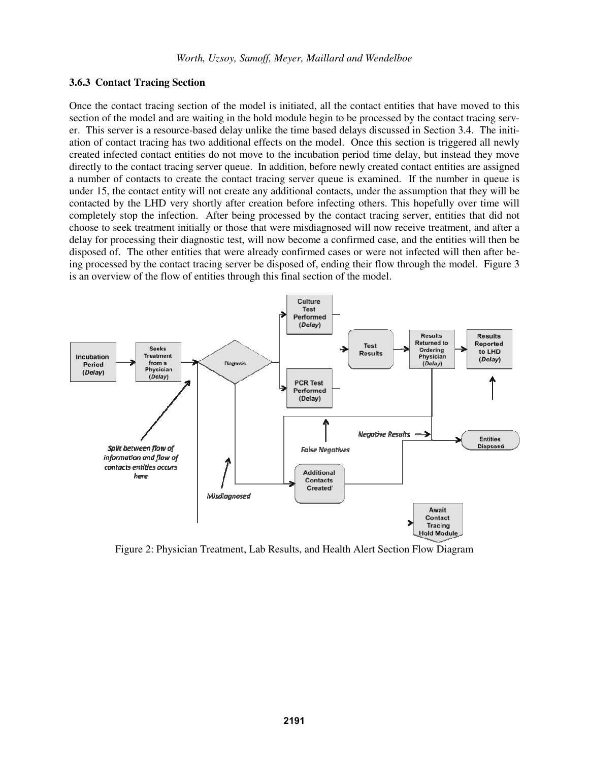#### **3.6.3 Contact Tracing Section**

Once the contact tracing section of the model is initiated, all the contact entities that have moved to this section of the model and are waiting in the hold module begin to be processed by the contact tracing server. This server is a resource-based delay unlike the time based delays discussed in Section 3.4. The initiation of contact tracing has two additional effects on the model. Once this section is triggered all newly created infected contact entities do not move to the incubation period time delay, but instead they move directly to the contact tracing server queue. In addition, before newly created contact entities are assigned a number of contacts to create the contact tracing server queue is examined. If the number in queue is under 15, the contact entity will not create any additional contacts, under the assumption that they will be contacted by the LHD very shortly after creation before infecting others. This hopefully over time will completely stop the infection. After being processed by the contact tracing server, entities that did not choose to seek treatment initially or those that were misdiagnosed will now receive treatment, and after a delay for processing their diagnostic test, will now become a confirmed case, and the entities will then be disposed of. The other entities that were already confirmed cases or were not infected will then after being processed by the contact tracing server be disposed of, ending their flow through the model. Figure 3 is an overview of the flow of entities through this final section of the model.



Figure 2: Physician Treatment, Lab Results, and Health Alert Section Flow Diagram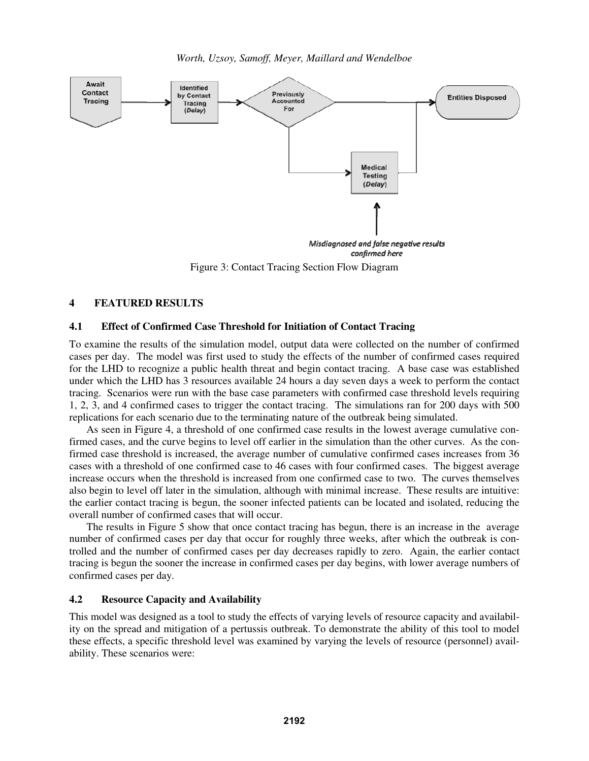

#### **4 FEATURED RESULTS**

#### **4.1 Effect of Confirmed Case Threshold for Initiation of Contact Tracing**

To examine the results of the simulation model, output data were collected on the number of confirmed cases per day. The model was first used to study the effects of the number of confirmed cases required for the LHD to recognize a public health threat and begin contact tracing. A base case was established under which the LHD has 3 resources available 24 hours a day seven days a week to perform the contact tracing. Scenarios were run with the base case parameters with confirmed case threshold levels requiring 1, 2, 3, and 4 confirmed cases to trigger the contact tracing. The simulations ran for 200 days with 500 replications for each scenario due to the terminating nature of the outbreak being simulated.

As seen in Figure 4, a threshold of one confirmed case results in the lowest average cumulative confirmed cases, and the curve begins to level off earlier in the simulation than the other curves. As the confirmed case threshold is increased, the average number of cumulative confirmed cases increases from 36 cases with a threshold of one confirmed case to 46 cases with four confirmed cases. The biggest average increase occurs when the threshold is increased from one confirmed case to two. The curves themselves also begin to level off later in the simulation, although with minimal increase. These results are intuitive: the earlier contact tracing is begun, the sooner infected patients can be located and isolated, reducing the overall number of confirmed cases that will occur.

The results in Figure 5 show that once contact tracing has begun, there is an increase in the average number of confirmed cases per day that occur for roughly three weeks, after which the outbreak is controlled and the number of confirmed cases per day decreases rapidly to zero. Again, the earlier contact tracing is begun the sooner the increase in confirmed cases per day begins, with lower average numbers of confirmed cases per day.

#### **4.2 Resource Capacity and Availability**

This model was designed as a tool to study the effects of varying levels of resource capacity and availability on the spread and mitigation of a pertussis outbreak. To demonstrate the ability of this tool to model these effects, a specific threshold level was examined by varying the levels of resource (personnel) availability. These scenarios were: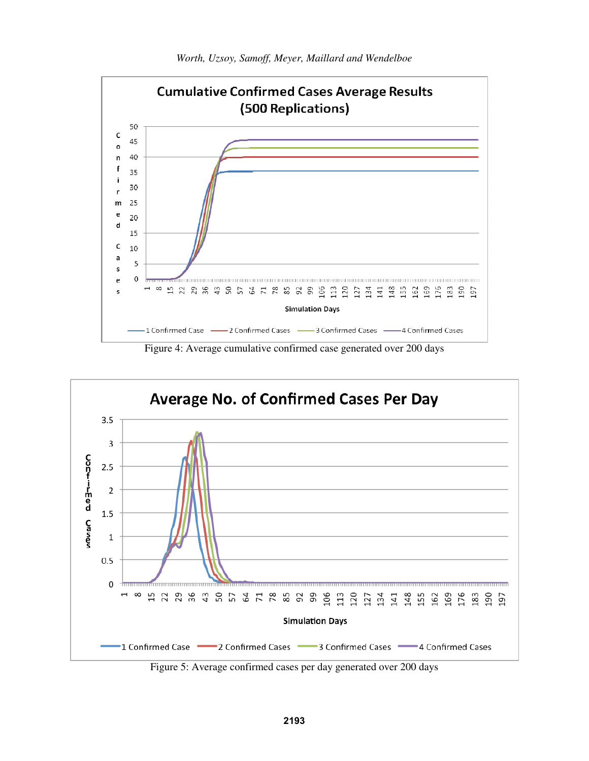

**Average No. of Confirmed Cases Per Day**  $3.5$  $\overline{\mathbf{3}}$ cont-influence  $2.5$  $\mathbf 2$  $1.5$  $\mathbf 1$  $0.5$  $\Omega$ **Turn**  $\infty$ **Simulation Days** 1 Confirmed Case -2 Confirmed Cases -3 Confirmed Cases -4 Confirmed Cases

Figure 5: Average confirmed cases per day generated over 200 days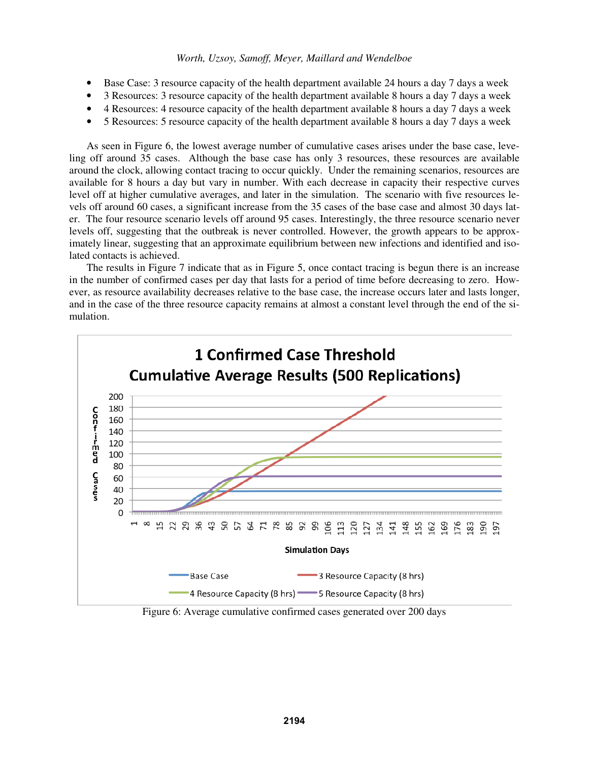- Base Case: 3 resource capacity of the health department available 24 hours a day 7 days a week
- 3 Resources: 3 resource capacity of the health department available 8 hours a day 7 days a week
- 4 Resources: 4 resource capacity of the health department available 8 hours a day 7 days a week
- 5 Resources: 5 resource capacity of the health department available 8 hours a day 7 days a week

 As seen in Figure 6, the lowest average number of cumulative cases arises under the base case, leveling off around 35 cases. Although the base case has only 3 resources, these resources are available around the clock, allowing contact tracing to occur quickly. Under the remaining scenarios, resources are available for 8 hours a day but vary in number. With each decrease in capacity their respective curves level off at higher cumulative averages, and later in the simulation. The scenario with five resources levels off around 60 cases, a significant increase from the 35 cases of the base case and almost 30 days later. The four resource scenario levels off around 95 cases. Interestingly, the three resource scenario never levels off, suggesting that the outbreak is never controlled. However, the growth appears to be approximately linear, suggesting that an approximate equilibrium between new infections and identified and isolated contacts is achieved.

The results in Figure 7 indicate that as in Figure 5, once contact tracing is begun there is an increase in the number of confirmed cases per day that lasts for a period of time before decreasing to zero. However, as resource availability decreases relative to the base case, the increase occurs later and lasts longer, and in the case of the three resource capacity remains at almost a constant level through the end of the simulation.



Figure 6: Average cumulative confirmed cases generated over 200 days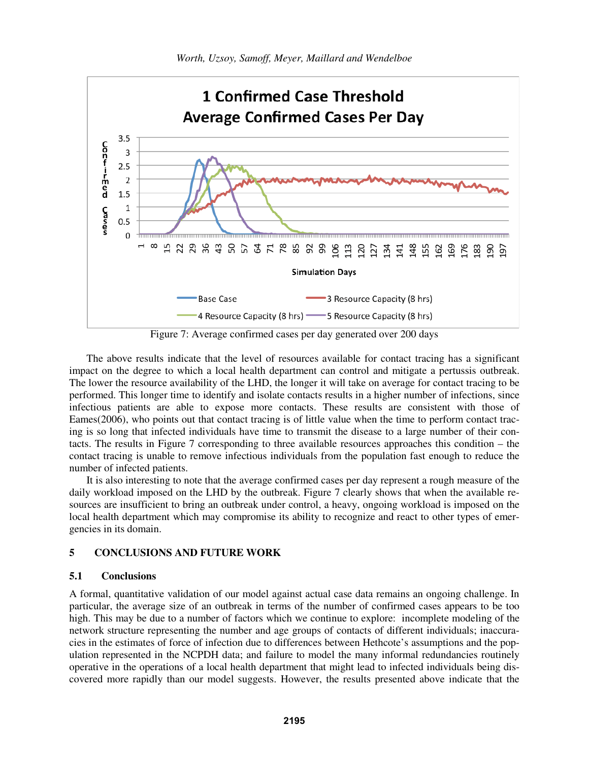

Figure 7: Average confirmed cases per day generated over 200 days

The above results indicate that the level of resources available for contact tracing has a significant impact on the degree to which a local health department can control and mitigate a pertussis outbreak. The lower the resource availability of the LHD, the longer it will take on average for contact tracing to be performed. This longer time to identify and isolate contacts results in a higher number of infections, since infectious patients are able to expose more contacts. These results are consistent with those of Eames(2006), who points out that contact tracing is of little value when the time to perform contact tracing is so long that infected individuals have time to transmit the disease to a large number of their contacts. The results in Figure 7 corresponding to three available resources approaches this condition – the contact tracing is unable to remove infectious individuals from the population fast enough to reduce the number of infected patients.

It is also interesting to note that the average confirmed cases per day represent a rough measure of the daily workload imposed on the LHD by the outbreak. Figure 7 clearly shows that when the available resources are insufficient to bring an outbreak under control, a heavy, ongoing workload is imposed on the local health department which may compromise its ability to recognize and react to other types of emergencies in its domain.

## **5 CONCLUSIONS AND FUTURE WORK**

## **5.1 Conclusions**

A formal, quantitative validation of our model against actual case data remains an ongoing challenge. In particular, the average size of an outbreak in terms of the number of confirmed cases appears to be too high. This may be due to a number of factors which we continue to explore: incomplete modeling of the network structure representing the number and age groups of contacts of different individuals; inaccuracies in the estimates of force of infection due to differences between Hethcote's assumptions and the population represented in the NCPDH data; and failure to model the many informal redundancies routinely operative in the operations of a local health department that might lead to infected individuals being discovered more rapidly than our model suggests. However, the results presented above indicate that the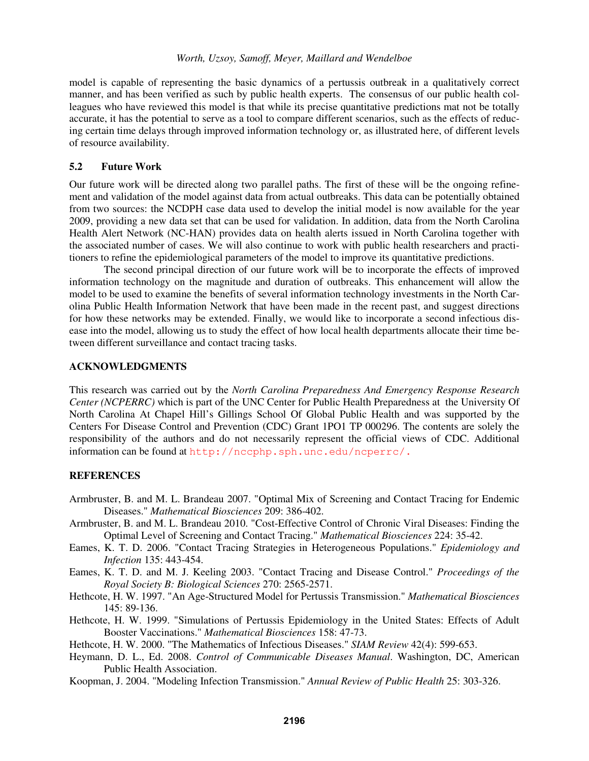model is capable of representing the basic dynamics of a pertussis outbreak in a qualitatively correct manner, and has been verified as such by public health experts. The consensus of our public health colleagues who have reviewed this model is that while its precise quantitative predictions mat not be totally accurate, it has the potential to serve as a tool to compare different scenarios, such as the effects of reducing certain time delays through improved information technology or, as illustrated here, of different levels of resource availability.

### **5.2 Future Work**

Our future work will be directed along two parallel paths. The first of these will be the ongoing refinement and validation of the model against data from actual outbreaks. This data can be potentially obtained from two sources: the NCDPH case data used to develop the initial model is now available for the year 2009, providing a new data set that can be used for validation. In addition, data from the North Carolina Health Alert Network (NC-HAN) provides data on health alerts issued in North Carolina together with the associated number of cases. We will also continue to work with public health researchers and practitioners to refine the epidemiological parameters of the model to improve its quantitative predictions.

 The second principal direction of our future work will be to incorporate the effects of improved information technology on the magnitude and duration of outbreaks. This enhancement will allow the model to be used to examine the benefits of several information technology investments in the North Carolina Public Health Information Network that have been made in the recent past, and suggest directions for how these networks may be extended. Finally, we would like to incorporate a second infectious disease into the model, allowing us to study the effect of how local health departments allocate their time between different surveillance and contact tracing tasks.

### **ACKNOWLEDGMENTS**

This research was carried out by the *North Carolina Preparedness And Emergency Response Research Center (NCPERRC)* which is part of the UNC Center for Public Health Preparedness at the University Of North Carolina At Chapel Hill's Gillings School Of Global Public Health and was supported by the Centers For Disease Control and Prevention (CDC) Grant 1PO1 TP 000296. The contents are solely the responsibility of the authors and do not necessarily represent the official views of CDC. Additional information can be found at http://nccphp.sph.unc.edu/ncperrc/.

## **REFERENCES**

- Armbruster, B. and M. L. Brandeau 2007. "Optimal Mix of Screening and Contact Tracing for Endemic Diseases." *Mathematical Biosciences* 209: 386-402.
- Armbruster, B. and M. L. Brandeau 2010. "Cost-Effective Control of Chronic Viral Diseases: Finding the Optimal Level of Screening and Contact Tracing." *Mathematical Biosciences* 224: 35-42.
- Eames, K. T. D. 2006. "Contact Tracing Strategies in Heterogeneous Populations." *Epidemiology and Infection* 135: 443-454.
- Eames, K. T. D. and M. J. Keeling 2003. "Contact Tracing and Disease Control." *Proceedings of the Royal Society B: Biological Sciences* 270: 2565-2571.
- Hethcote, H. W. 1997. "An Age-Structured Model for Pertussis Transmission." *Mathematical Biosciences* 145: 89-136.
- Hethcote, H. W. 1999. "Simulations of Pertussis Epidemiology in the United States: Effects of Adult Booster Vaccinations." *Mathematical Biosciences* 158: 47-73.
- Hethcote, H. W. 2000. "The Mathematics of Infectious Diseases." *SIAM Review* 42(4): 599-653.
- Heymann, D. L., Ed. 2008. *Control of Communicable Diseases Manual*. Washington, DC, American Public Health Association.
- Koopman, J. 2004. "Modeling Infection Transmission." *Annual Review of Public Health* 25: 303-326.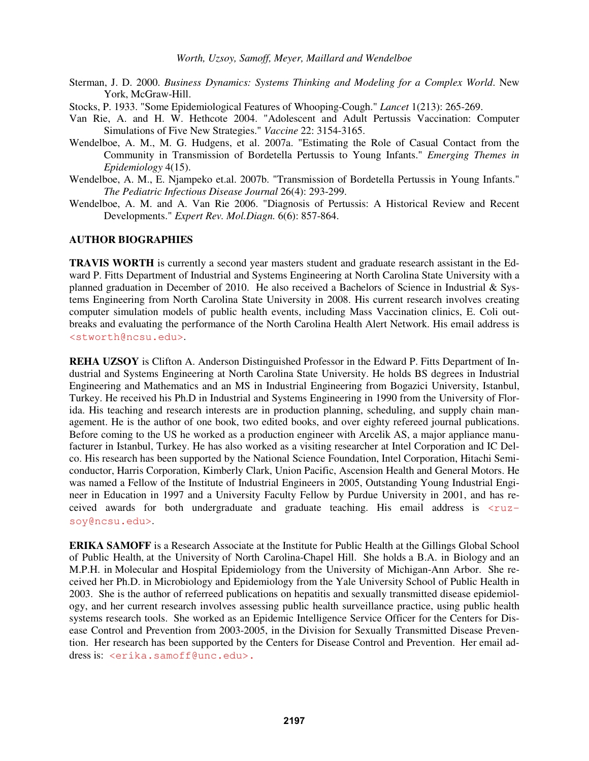- Sterman, J. D. 2000. *Business Dynamics: Systems Thinking and Modeling for a Complex World*. New York, McGraw-Hill.
- Stocks, P. 1933. "Some Epidemiological Features of Whooping-Cough." *Lancet* 1(213): 265-269.
- Van Rie, A. and H. W. Hethcote 2004. "Adolescent and Adult Pertussis Vaccination: Computer Simulations of Five New Strategies." *Vaccine* 22: 3154-3165.
- Wendelboe, A. M., M. G. Hudgens, et al. 2007a. "Estimating the Role of Casual Contact from the Community in Transmission of Bordetella Pertussis to Young Infants." *Emerging Themes in Epidemiology* 4(15).
- Wendelboe, A. M., E. Njampeko et.al. 2007b. "Transmission of Bordetella Pertussis in Young Infants." *The Pediatric Infectious Disease Journal* 26(4): 293-299.
- Wendelboe, A. M. and A. Van Rie 2006. "Diagnosis of Pertussis: A Historical Review and Recent Developments." *Expert Rev. Mol.Diagn.* 6(6): 857-864.

## **AUTHOR BIOGRAPHIES**

**TRAVIS WORTH** is currently a second year masters student and graduate research assistant in the Edward P. Fitts Department of Industrial and Systems Engineering at North Carolina State University with a planned graduation in December of 2010. He also received a Bachelors of Science in Industrial & Systems Engineering from North Carolina State University in 2008. His current research involves creating computer simulation models of public health events, including Mass Vaccination clinics, E. Coli outbreaks and evaluating the performance of the North Carolina Health Alert Network. His email address is <stworth@ncsu.edu>.

**REHA UZSOY** is Clifton A. Anderson Distinguished Professor in the Edward P. Fitts Department of Industrial and Systems Engineering at North Carolina State University. He holds BS degrees in Industrial Engineering and Mathematics and an MS in Industrial Engineering from Bogazici University, Istanbul, Turkey. He received his Ph.D in Industrial and Systems Engineering in 1990 from the University of Florida. His teaching and research interests are in production planning, scheduling, and supply chain management. He is the author of one book, two edited books, and over eighty refereed journal publications. Before coming to the US he worked as a production engineer with Arcelik AS, a major appliance manufacturer in Istanbul, Turkey. He has also worked as a visiting researcher at Intel Corporation and IC Delco. His research has been supported by the National Science Foundation, Intel Corporation, Hitachi Semiconductor, Harris Corporation, Kimberly Clark, Union Pacific, Ascension Health and General Motors. He was named a Fellow of the Institute of Industrial Engineers in 2005, Outstanding Young Industrial Engineer in Education in 1997 and a University Faculty Fellow by Purdue University in 2001, and has received awards for both undergraduate and graduate teaching. His email address is  $\langle \text{ruz}$ soy@ncsu.edu>.

**ERIKA SAMOFF** is a Research Associate at the Institute for Public Health at the Gillings Global School of Public Health, at the University of North Carolina-Chapel Hill. She holds a B.A. in Biology and an M.P.H. in Molecular and Hospital Epidemiology from the University of Michigan-Ann Arbor. She received her Ph.D. in Microbiology and Epidemiology from the Yale University School of Public Health in 2003. She is the author of referreed publications on hepatitis and sexually transmitted disease epidemiology, and her current research involves assessing public health surveillance practice, using public health systems research tools. She worked as an Epidemic Intelligence Service Officer for the Centers for Disease Control and Prevention from 2003-2005, in the Division for Sexually Transmitted Disease Prevention. Her research has been supported by the Centers for Disease Control and Prevention. Her email address is: <erika.samoff@unc.edu>.